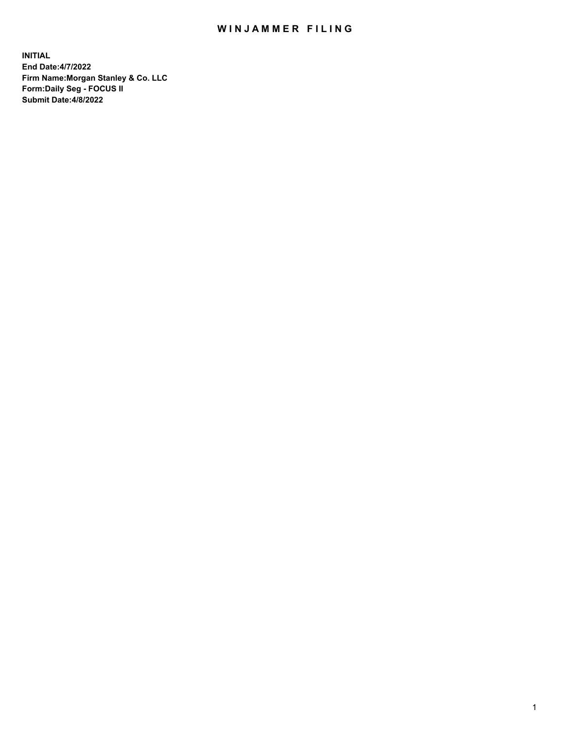## WIN JAMMER FILING

**INITIAL End Date:4/7/2022 Firm Name:Morgan Stanley & Co. LLC Form:Daily Seg - FOCUS II Submit Date:4/8/2022**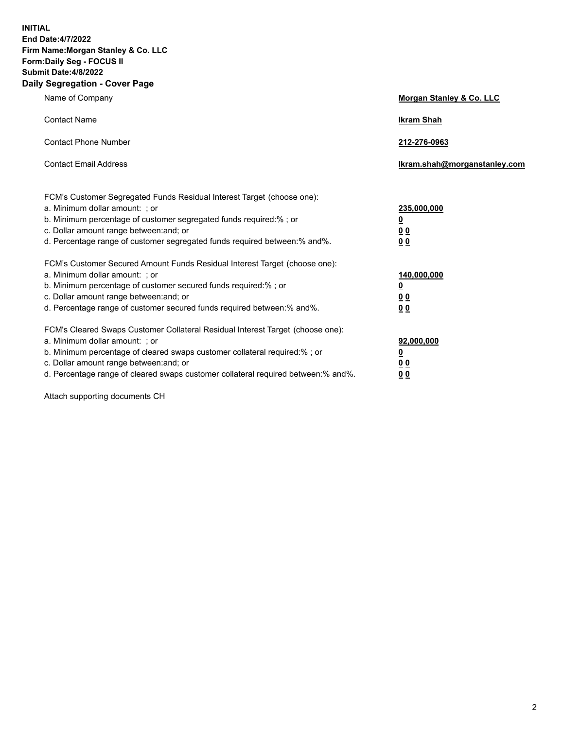**INITIAL End Date:4/7/2022 Firm Name:Morgan Stanley & Co. LLC Form:Daily Seg - FOCUS II Submit Date:4/8/2022 Daily Segregation - Cover Page**

| Name of Company                                                                   | Morgan Stanley & Co. LLC     |
|-----------------------------------------------------------------------------------|------------------------------|
| <b>Contact Name</b>                                                               | <b>Ikram Shah</b>            |
| <b>Contact Phone Number</b>                                                       | 212-276-0963                 |
| <b>Contact Email Address</b>                                                      | Ikram.shah@morganstanley.com |
| FCM's Customer Segregated Funds Residual Interest Target (choose one):            |                              |
| a. Minimum dollar amount: ; or                                                    | 235,000,000                  |
| b. Minimum percentage of customer segregated funds required:% ; or                | <u>0</u>                     |
| c. Dollar amount range between: and; or                                           | <u>0 0</u>                   |
| d. Percentage range of customer segregated funds required between: % and %.       | 0 Q                          |
| FCM's Customer Secured Amount Funds Residual Interest Target (choose one):        |                              |
| a. Minimum dollar amount: ; or                                                    | 140,000,000                  |
| b. Minimum percentage of customer secured funds required:%; or                    | <u>0</u>                     |
| c. Dollar amount range between: and; or                                           | <u>00</u>                    |
| d. Percentage range of customer secured funds required between:% and%.            | 0 <sup>0</sup>               |
| FCM's Cleared Swaps Customer Collateral Residual Interest Target (choose one):    |                              |
| a. Minimum dollar amount: ; or                                                    | 92,000,000                   |
| b. Minimum percentage of cleared swaps customer collateral required:% ; or        | <u>0</u>                     |
| c. Dollar amount range between: and; or                                           | 0 Q                          |
| d. Percentage range of cleared swaps customer collateral required between:% and%. | 00                           |
|                                                                                   |                              |

Attach supporting documents CH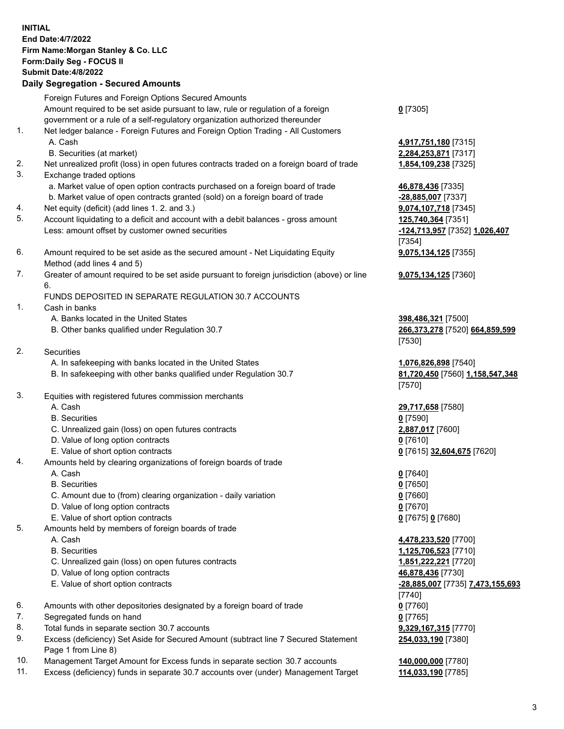| <b>INITIAL</b> | End Date: 4/7/2022<br>Firm Name: Morgan Stanley & Co. LLC<br>Form: Daily Seg - FOCUS II<br><b>Submit Date: 4/8/2022</b><br><b>Daily Segregation - Secured Amounts</b> |                                                     |
|----------------|-----------------------------------------------------------------------------------------------------------------------------------------------------------------------|-----------------------------------------------------|
|                | Foreign Futures and Foreign Options Secured Amounts                                                                                                                   |                                                     |
|                | Amount required to be set aside pursuant to law, rule or regulation of a foreign                                                                                      | $0$ [7305]                                          |
|                | government or a rule of a self-regulatory organization authorized thereunder                                                                                          |                                                     |
| 1.             | Net ledger balance - Foreign Futures and Foreign Option Trading - All Customers                                                                                       |                                                     |
|                | A. Cash<br>B. Securities (at market)                                                                                                                                  | 4,917,751,180 [7315]<br>2,284,253,871 [7317]        |
| 2.             | Net unrealized profit (loss) in open futures contracts traded on a foreign board of trade                                                                             | 1,854,109,238 [7325]                                |
| 3.             | Exchange traded options                                                                                                                                               |                                                     |
|                | a. Market value of open option contracts purchased on a foreign board of trade                                                                                        | 46,878,436 [7335]                                   |
|                | b. Market value of open contracts granted (sold) on a foreign board of trade                                                                                          | $-28,885,007$ [7337]                                |
| 4.             | Net equity (deficit) (add lines 1. 2. and 3.)                                                                                                                         | 9,074,107,718 [7345]                                |
| 5.             | Account liquidating to a deficit and account with a debit balances - gross amount<br>Less: amount offset by customer owned securities                                 | 125,740,364 [7351]<br>-124,713,957 [7352] 1,026,407 |
|                |                                                                                                                                                                       | [7354]                                              |
| 6.             | Amount required to be set aside as the secured amount - Net Liquidating Equity<br>Method (add lines 4 and 5)                                                          | 9,075,134,125 [7355]                                |
| 7.             | Greater of amount required to be set aside pursuant to foreign jurisdiction (above) or line<br>6.                                                                     | 9,075,134,125 [7360]                                |
|                | FUNDS DEPOSITED IN SEPARATE REGULATION 30.7 ACCOUNTS                                                                                                                  |                                                     |
| 1.             | Cash in banks                                                                                                                                                         |                                                     |
|                | A. Banks located in the United States                                                                                                                                 | 398,486,321 [7500]                                  |
|                | B. Other banks qualified under Regulation 30.7                                                                                                                        | 266,373,278 [7520] 664,859,599<br>[7530]            |
| 2.             | Securities                                                                                                                                                            |                                                     |
|                | A. In safekeeping with banks located in the United States                                                                                                             | 1,076,826,898 [7540]                                |
|                | B. In safekeeping with other banks qualified under Regulation 30.7                                                                                                    | 81,720,450 [7560] 1,158,547,348<br>[7570]           |
| 3.             | Equities with registered futures commission merchants                                                                                                                 |                                                     |
|                | A. Cash                                                                                                                                                               | 29,717,658 [7580]                                   |
|                | <b>B.</b> Securities<br>C. Unrealized gain (loss) on open futures contracts                                                                                           | $0$ [7590]                                          |
|                | D. Value of long option contracts                                                                                                                                     | 2,887,017 [7600]<br>$0$ [7610]                      |
|                | E. Value of short option contracts                                                                                                                                    | 0 [7615] 32,604,675 [7620]                          |
| 4.             | Amounts held by clearing organizations of foreign boards of trade                                                                                                     |                                                     |
|                | A. Cash                                                                                                                                                               | $0$ [7640]                                          |
|                | <b>B.</b> Securities                                                                                                                                                  | $0$ [7650]                                          |
|                | C. Amount due to (from) clearing organization - daily variation                                                                                                       | $0$ [7660]                                          |
|                | D. Value of long option contracts<br>E. Value of short option contracts                                                                                               | $0$ [7670]<br>0 [7675] 0 [7680]                     |
| 5.             | Amounts held by members of foreign boards of trade                                                                                                                    |                                                     |
|                | A. Cash                                                                                                                                                               | 4,478,233,520 [7700]                                |
|                | <b>B.</b> Securities                                                                                                                                                  | 1,125,706,523 [7710]                                |
|                | C. Unrealized gain (loss) on open futures contracts                                                                                                                   | 1,851,222,221 [7720]                                |
|                | D. Value of long option contracts                                                                                                                                     | 46,878,436 [7730]                                   |
|                | E. Value of short option contracts                                                                                                                                    | -28,885,007 [7735] 7,473,155,693<br>[7740]          |
| 6.             | Amounts with other depositories designated by a foreign board of trade                                                                                                | $0$ [7760]                                          |
| 7.             | Segregated funds on hand                                                                                                                                              | $0$ [7765]                                          |
| 8.<br>9.       | Total funds in separate section 30.7 accounts<br>Excess (deficiency) Set Aside for Secured Amount (subtract line 7 Secured Statement                                  | 9,329,167,315 [7770]<br>254,033,190 [7380]          |

- Page 1 from Line 8) 10. Management Target Amount for Excess funds in separate section 30.7 accounts **140,000,000** [7780]
- 11. Excess (deficiency) funds in separate 30.7 accounts over (under) Management Target **114,033,190** [7785]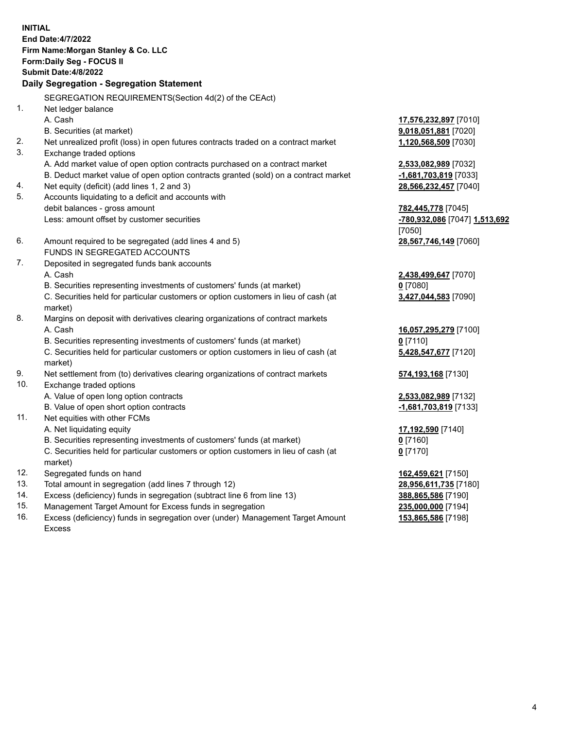**INITIAL End Date:4/7/2022 Firm Name:Morgan Stanley & Co. LLC Form:Daily Seg - FOCUS II Submit Date:4/8/2022 Daily Segregation - Segregation Statement** SEGREGATION REQUIREMENTS(Section 4d(2) of the CEAct) 1. Net ledger balance A. Cash **17,576,232,897** [7010] B. Securities (at market) **9,018,051,881** [7020] 2. Net unrealized profit (loss) in open futures contracts traded on a contract market **1,120,568,509** [7030] 3. Exchange traded options A. Add market value of open option contracts purchased on a contract market **2,533,082,989** [7032] B. Deduct market value of open option contracts granted (sold) on a contract market **-1,681,703,819** [7033] 4. Net equity (deficit) (add lines 1, 2 and 3) **28,566,232,457** [7040] 5. Accounts liquidating to a deficit and accounts with debit balances - gross amount **782,445,778** [7045] Less: amount offset by customer securities **-780,932,086** [7047] **1,513,692** [7050] 6. Amount required to be segregated (add lines 4 and 5) **28,567,746,149** [7060] FUNDS IN SEGREGATED ACCOUNTS 7. Deposited in segregated funds bank accounts A. Cash **2,438,499,647** [7070] B. Securities representing investments of customers' funds (at market) **0** [7080] C. Securities held for particular customers or option customers in lieu of cash (at market) **3,427,044,583** [7090] 8. Margins on deposit with derivatives clearing organizations of contract markets A. Cash **16,057,295,279** [7100] B. Securities representing investments of customers' funds (at market) **0** [7110] C. Securities held for particular customers or option customers in lieu of cash (at market) **5,428,547,677** [7120] 9. Net settlement from (to) derivatives clearing organizations of contract markets **574,193,168** [7130] 10. Exchange traded options A. Value of open long option contracts **2,533,082,989** [7132] B. Value of open short option contracts **-1,681,703,819** [7133] 11. Net equities with other FCMs A. Net liquidating equity **17,192,590** [7140] B. Securities representing investments of customers' funds (at market) **0** [7160] C. Securities held for particular customers or option customers in lieu of cash (at market) **0** [7170] 12. Segregated funds on hand **162,459,621** [7150] 13. Total amount in segregation (add lines 7 through 12) **28,956,611,735** [7180] 14. Excess (deficiency) funds in segregation (subtract line 6 from line 13) **388,865,586** [7190] 15. Management Target Amount for Excess funds in segregation **235,000,000** [7194]

- 16. Excess (deficiency) funds in segregation over (under) Management Target Amount
	- Excess

**153,865,586** [7198]